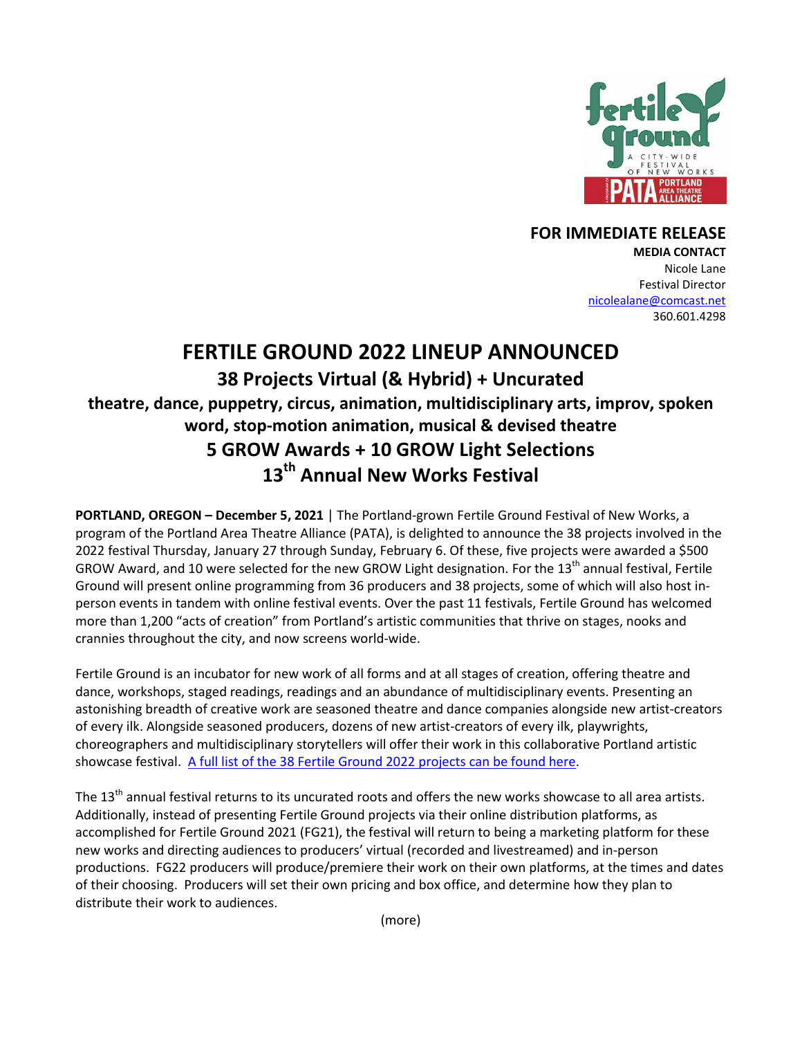

## **FOR IMMEDIATE RELEASE**

**MEDIA CONTACT** Nicole Lane Festival Director [nicolealane@comcast.net](mailto:nicolealane@comcast.net) 360.601.4298

# **FERTILE GROUND 2022 LINEUP ANNOUNCED 38 Projects Virtual (& Hybrid) + Uncurated theatre, dance, puppetry, circus, animation, multidisciplinary arts, improv, spoken word, stop-motion animation, musical & devised theatre 5 GROW Awards + 10 GROW Light Selections 13 th Annual New Works Festival**

**PORTLAND, OREGON – December 5, 2021** | The Portland-grown Fertile Ground Festival of New Works, a program of the Portland Area Theatre Alliance (PATA), is delighted to announce the 38 projects involved in the 2022 festival Thursday, January 27 through Sunday, February 6. Of these, five projects were awarded a \$500 GROW Award, and 10 were selected for the new GROW Light designation. For the 13<sup>th</sup> annual festival, Fertile Ground will present online programming from 36 producers and 38 projects, some of which will also host inperson events in tandem with online festival events. Over the past 11 festivals, Fertile Ground has welcomed more than 1,200 "acts of creation" from Portland's artistic communities that thrive on stages, nooks and crannies throughout the city, and now screens world-wide.

Fertile Ground is an incubator for new work of all forms and at all stages of creation, offering theatre and dance, workshops, staged readings, readings and an abundance of multidisciplinary events. Presenting an astonishing breadth of creative work are seasoned theatre and dance companies alongside new artist-creators of every ilk. Alongside seasoned producers, dozens of new artist-creators of every ilk, playwrights, choreographers and multidisciplinary storytellers will offer their work in this collaborative Portland artistic showcase festival. [A full list of the 38 Fertile Ground 2022](http://fertilegroundpdx.org/2022-festival/) projects can be found here.

The 13<sup>th</sup> annual festival returns to its uncurated roots and offers the new works showcase to all area artists. Additionally, instead of presenting Fertile Ground projects via their online distribution platforms, as accomplished for Fertile Ground 2021 (FG21), the festival will return to being a marketing platform for these new works and directing audiences to producers' virtual (recorded and livestreamed) and in-person productions. FG22 producers will produce/premiere their work on their own platforms, at the times and dates of their choosing. Producers will set their own pricing and box office, and determine how they plan to distribute their work to audiences.

(more)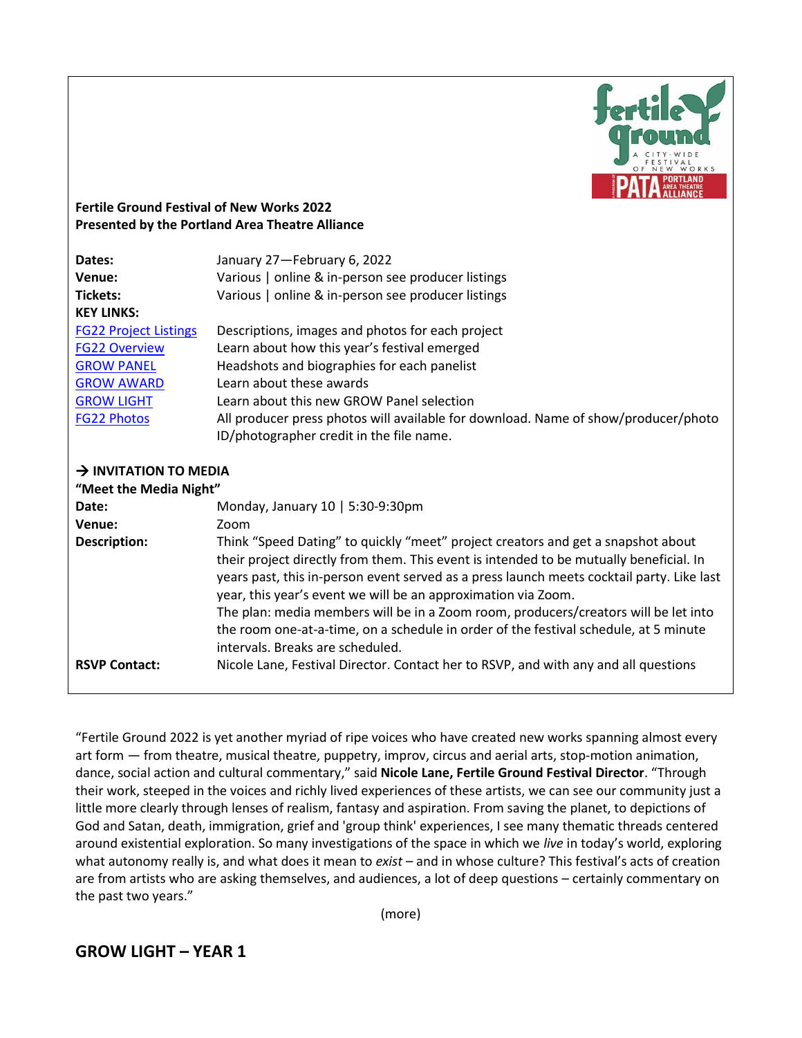

### **Fertile Ground Festival of New Works 2022 Presented by the Portland Area Theatre Alliance**

| Dates:<br>Venue:<br><b>Tickets:</b> | January 27-February 6, 2022<br>Various   online & in-person see producer listings<br>Various   online & in-person see producer listings                                                                                                                                                                                                                                                                                                                                                                                                                     |
|-------------------------------------|-------------------------------------------------------------------------------------------------------------------------------------------------------------------------------------------------------------------------------------------------------------------------------------------------------------------------------------------------------------------------------------------------------------------------------------------------------------------------------------------------------------------------------------------------------------|
| <b>KEY LINKS:</b>                   |                                                                                                                                                                                                                                                                                                                                                                                                                                                                                                                                                             |
| <b>FG22 Project Listings</b>        | Descriptions, images and photos for each project                                                                                                                                                                                                                                                                                                                                                                                                                                                                                                            |
| <b>FG22 Overview</b>                | Learn about how this year's festival emerged                                                                                                                                                                                                                                                                                                                                                                                                                                                                                                                |
| <b>GROW PANEL</b>                   | Headshots and biographies for each panelist                                                                                                                                                                                                                                                                                                                                                                                                                                                                                                                 |
| <b>GROW AWARD</b>                   | Learn about these awards                                                                                                                                                                                                                                                                                                                                                                                                                                                                                                                                    |
| <b>GROW LIGHT</b>                   | Learn about this new GROW Panel selection                                                                                                                                                                                                                                                                                                                                                                                                                                                                                                                   |
| <b>FG22 Photos</b>                  | All producer press photos will available for download. Name of show/producer/photo                                                                                                                                                                                                                                                                                                                                                                                                                                                                          |
|                                     | ID/photographer credit in the file name.                                                                                                                                                                                                                                                                                                                                                                                                                                                                                                                    |
| $\rightarrow$ INVITATION TO MEDIA   |                                                                                                                                                                                                                                                                                                                                                                                                                                                                                                                                                             |
| "Meet the Media Night"              |                                                                                                                                                                                                                                                                                                                                                                                                                                                                                                                                                             |
| Date:                               | Monday, January 10   5:30-9:30pm                                                                                                                                                                                                                                                                                                                                                                                                                                                                                                                            |
| Venue:                              | Zoom                                                                                                                                                                                                                                                                                                                                                                                                                                                                                                                                                        |
| <b>Description:</b>                 | Think "Speed Dating" to quickly "meet" project creators and get a snapshot about<br>their project directly from them. This event is intended to be mutually beneficial. In<br>years past, this in-person event served as a press launch meets cocktail party. Like last<br>year, this year's event we will be an approximation via Zoom.<br>The plan: media members will be in a Zoom room, producers/creators will be let into<br>the room one-at-a-time, on a schedule in order of the festival schedule, at 5 minute<br>intervals. Breaks are scheduled. |
| <b>RSVP Contact:</b>                | Nicole Lane, Festival Director. Contact her to RSVP, and with any and all questions                                                                                                                                                                                                                                                                                                                                                                                                                                                                         |

"Fertile Ground 2022 is yet another myriad of ripe voices who have created new works spanning almost every art form — from theatre, musical theatre, puppetry, improv, circus and aerial arts, stop-motion animation, dance, social action and cultural commentary," said **Nicole Lane, Fertile Ground Festival Director**. "Through their work, steeped in the voices and richly lived experiences of these artists, we can see our community just a little more clearly through lenses of realism, fantasy and aspiration. From saving the planet, to depictions of God and Satan, death, immigration, grief and 'group think' experiences, I see many thematic threads centered around existential exploration. So many investigations of the space in which we *live* in today's world, exploring what autonomy really is, and what does it mean to *exist* – and in whose culture? This festival's acts of creation are from artists who are asking themselves, and audiences, a lot of deep questions – certainly commentary on the past two years."

(more)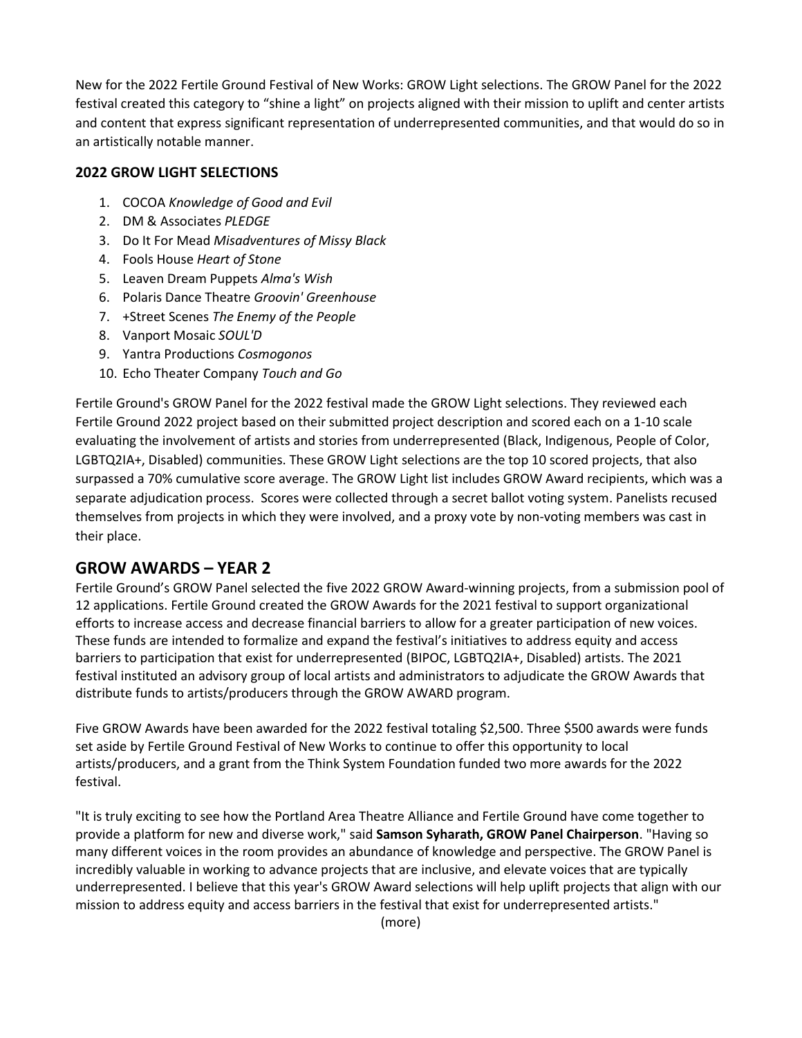New for the 2022 Fertile Ground Festival of New Works: GROW Light selections. The GROW Panel for the 2022 festival created this category to "shine a light" on projects aligned with their mission to uplift and center artists and content that express significant representation of underrepresented communities, and that would do so in an artistically notable manner.

## **2022 GROW LIGHT SELECTIONS**

- 1. COCOA *Knowledge of Good and Evil*
- 2. DM & Associates *PLEDGE*
- 3. Do It For Mead *Misadventures of Missy Black*
- 4. Fools House *Heart of Stone*
- 5. Leaven Dream Puppets *Alma's Wish*
- 6. Polaris Dance Theatre *Groovin' Greenhouse*
- 7. +Street Scenes *The Enemy of the People*
- 8. Vanport Mosaic *SOUL'D*
- 9. Yantra Productions *Cosmogonos*
- 10. Echo Theater Company *Touch and Go*

Fertile Ground's GROW Panel for the 2022 festival made the GROW Light selections. They reviewed each Fertile Ground 2022 project based on their submitted project description and scored each on a 1-10 scale evaluating the involvement of artists and stories from underrepresented (Black, Indigenous, People of Color, LGBTQ2IA+, Disabled) communities. These GROW Light selections are the top 10 scored projects, that also surpassed a 70% cumulative score average. The GROW Light list includes GROW Award recipients, which was a separate adjudication process. Scores were collected through a secret ballot voting system. Panelists recused themselves from projects in which they were involved, and a proxy vote by non-voting members was cast in their place.

# **GROW AWARDS – YEAR 2**

Fertile Ground's GROW Panel selected the five 2022 GROW Award-winning projects, from a submission pool of 12 applications. Fertile Ground created the GROW Awards for the 2021 festival to support organizational efforts to increase access and decrease financial barriers to allow for a greater participation of new voices. These funds are intended to formalize and expand the festival's initiatives to address equity and access barriers to participation that exist for underrepresented (BIPOC, LGBTQ2IA+, Disabled) artists. The 2021 festival instituted an advisory group of local artists and administrators to adjudicate the GROW Awards that distribute funds to artists/producers through the GROW AWARD program.

Five GROW Awards have been awarded for the 2022 festival totaling \$2,500. Three \$500 awards were funds set aside by Fertile Ground Festival of New Works to continue to offer this opportunity to local artists/producers, and a grant from the Think System Foundation funded two more awards for the 2022 festival.

"It is truly exciting to see how the Portland Area Theatre Alliance and Fertile Ground have come together to provide a platform for new and diverse work," said **Samson Syharath, GROW Panel Chairperson**. "Having so many different voices in the room provides an abundance of knowledge and perspective. The GROW Panel is incredibly valuable in working to advance projects that are inclusive, and elevate voices that are typically underrepresented. I believe that this year's GROW Award selections will help uplift projects that align with our mission to address equity and access barriers in the festival that exist for underrepresented artists."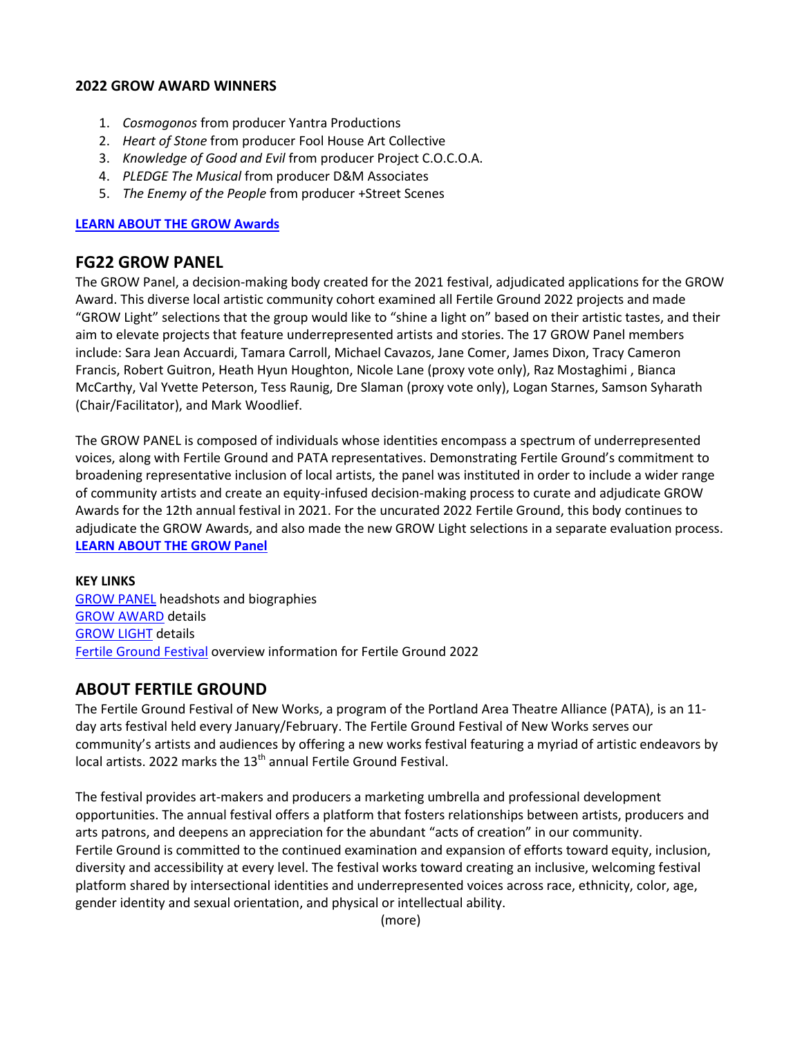#### **2022 GROW AWARD WINNERS**

- 1. *Cosmogonos* from producer Yantra Productions
- 2. *Heart of Stone* from producer Fool House Art Collective
- 3. *Knowledge of Good and Evil* from producer Project C.O.C.O.A.
- 4. *PLEDGE The Musical* from producer D&M Associates
- 5. *The Enemy of the People* from producer +Street Scenes

#### **[LEARN ABOUT THE GROW Awards](http://fertilegroundpdx.org/grow-award/)**

## **FG22 GROW PANEL**

The GROW Panel, a decision-making body created for the 2021 festival, adjudicated applications for the GROW Award. This diverse local artistic community cohort examined all Fertile Ground 2022 projects and made "GROW Light" selections that the group would like to "shine a light on" based on their artistic tastes, and their aim to elevate projects that feature underrepresented artists and stories. The 17 GROW Panel members include: Sara Jean Accuardi, Tamara Carroll, Michael Cavazos, Jane Comer, James Dixon, Tracy Cameron Francis, Robert Guitron, Heath Hyun Houghton, Nicole Lane (proxy vote only), Raz Mostaghimi , Bianca McCarthy, Val Yvette Peterson, Tess Raunig, Dre Slaman (proxy vote only), Logan Starnes, Samson Syharath (Chair/Facilitator), and Mark Woodlief.

The GROW PANEL is composed of individuals whose identities encompass a spectrum of underrepresented voices, along with Fertile Ground and PATA representatives. Demonstrating Fertile Ground's commitment to broadening representative inclusion of local artists, the panel was instituted in order to include a wider range of community artists and create an equity-infused decision-making process to curate and adjudicate GROW Awards for the 12th annual festival in 2021. For the uncurated 2022 Fertile Ground, this body continues to adjudicate the GROW Awards, and also made the new GROW Light selections in a separate evaluation process. **[LEARN ABOUT THE GROW Panel](http://fertilegroundpdx.org/grow-panel/)**

#### **KEY LINKS**

[GROW PANEL](http://fertilegroundpdx.org/grow-panel/) headshots and biographies [GROW AWARD](http://fertilegroundpdx.org/grow-award/) details [GROW LIGHT](http://fertilegroundpdx.org/grow-light/) details [Fertile Ground Festival](http://fertilegroundpdx.org/about-fertile-ground-2021/) overview information for Fertile Ground 2022

## **ABOUT FERTILE GROUND**

The Fertile Ground Festival of New Works, a program of the Portland Area Theatre Alliance (PATA), is an 11 day arts festival held every January/February. The Fertile Ground Festival of New Works serves our community's artists and audiences by offering a new works festival featuring a myriad of artistic endeavors by local artists. 2022 marks the 13<sup>th</sup> annual Fertile Ground Festival.

The festival provides art-makers and producers a marketing umbrella and professional development opportunities. The annual festival offers a platform that fosters relationships between artists, producers and arts patrons, and deepens an appreciation for the abundant "acts of creation" in our community. Fertile Ground is committed to the continued examination and expansion of efforts toward equity, inclusion, diversity and accessibility at every level. The festival works toward creating an inclusive, welcoming festival platform shared by intersectional identities and underrepresented voices across race, ethnicity, color, age, gender identity and sexual orientation, and physical or intellectual ability.